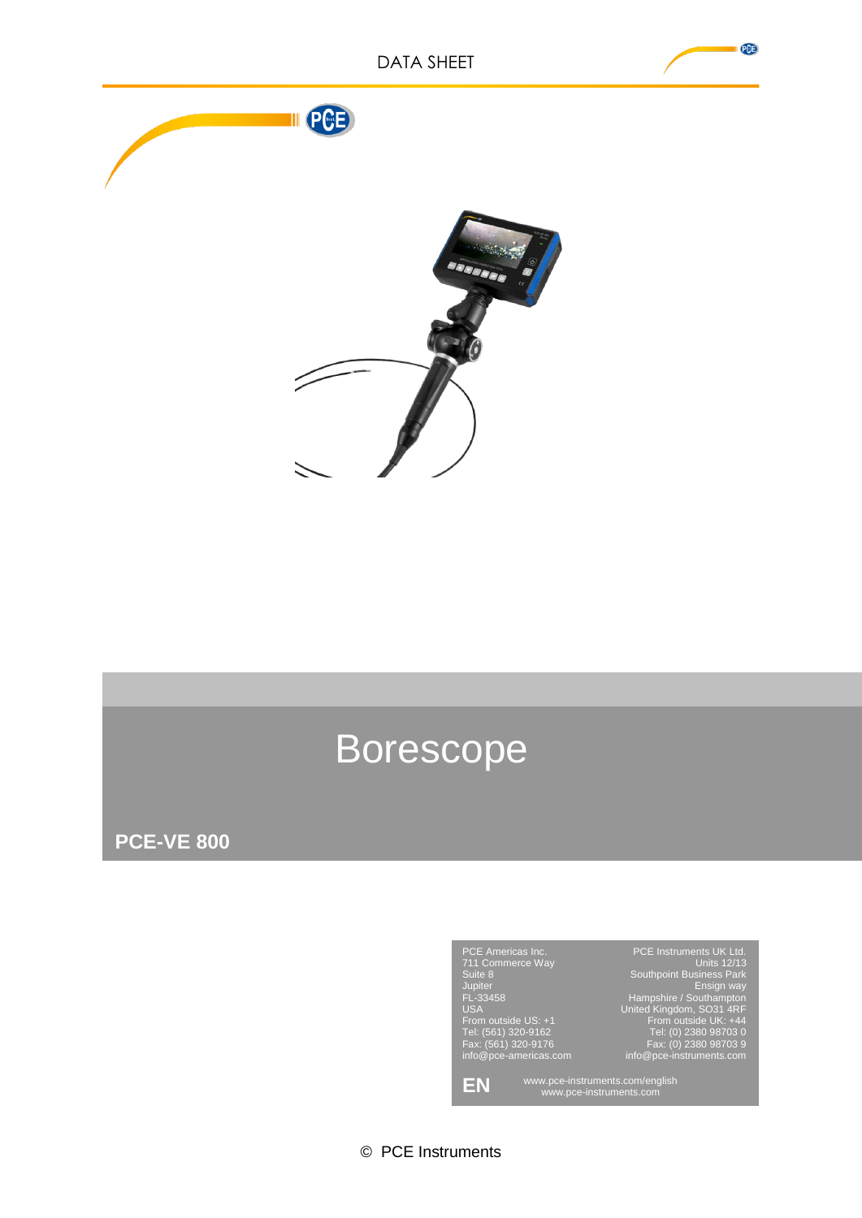

# Borescope

**PCE-VE 800**



© PCE Instruments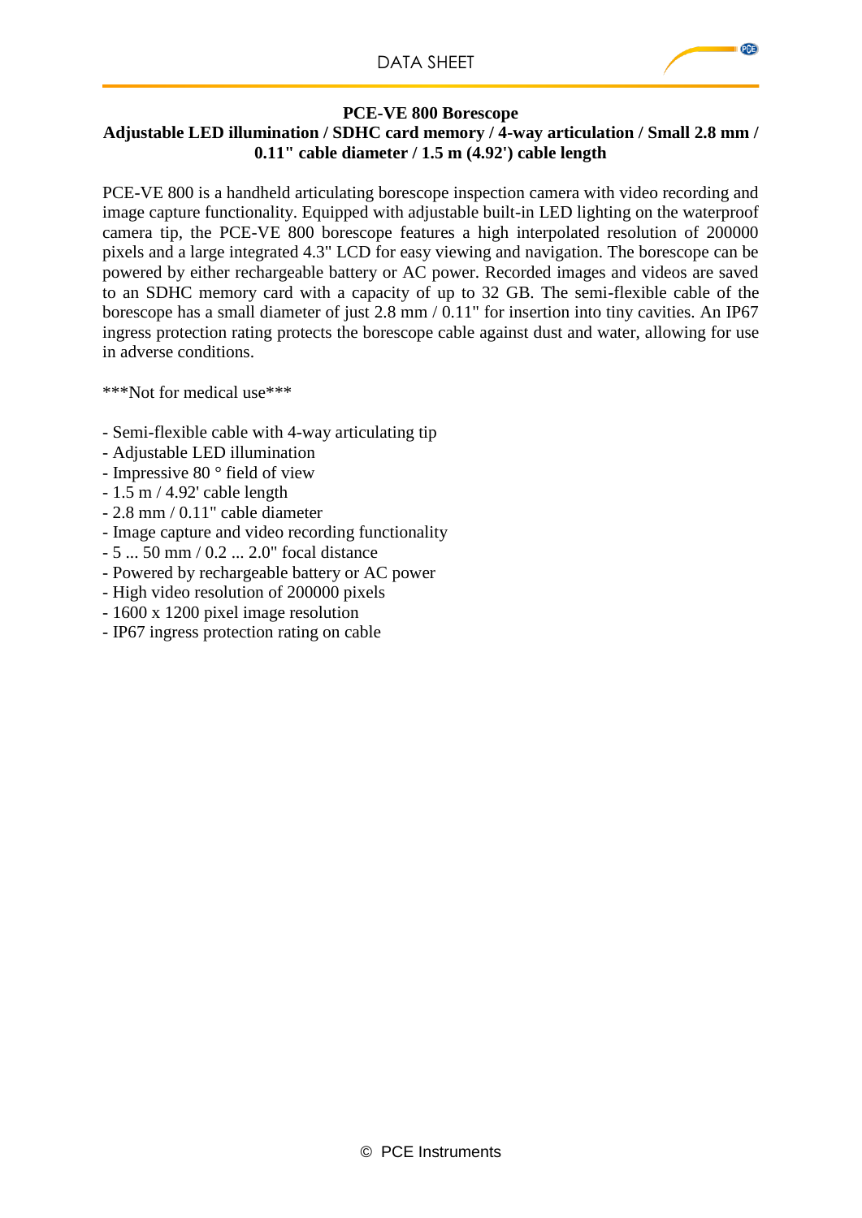#### **PCE-VE 800 Borescope**

### **Adjustable LED illumination / SDHC card memory / 4-way articulation / Small 2.8 mm / 0.11" cable diameter / 1.5 m (4.92') cable length**

PCE-VE 800 is a handheld articulating borescope inspection camera with video recording and image capture functionality. Equipped with adjustable built-in LED lighting on the waterproof camera tip, the PCE-VE 800 borescope features a high interpolated resolution of 200000 pixels and a large integrated 4.3" LCD for easy viewing and navigation. The borescope can be powered by either rechargeable battery or AC power. Recorded images and videos are saved to an SDHC memory card with a capacity of up to 32 GB. The semi-flexible cable of the borescope has a small diameter of just 2.8 mm / 0.11" for insertion into tiny cavities. An IP67 ingress protection rating protects the borescope cable against dust and water, allowing for use in adverse conditions.

\*\*\*Not for medical use\*\*\*

- Semi-flexible cable with 4-way articulating tip
- Adjustable LED illumination
- Impressive 80 ° field of view
- 1.5 m / 4.92' cable length
- 2.8 mm / 0.11" cable diameter
- Image capture and video recording functionality
- 5 ... 50 mm / 0.2 ... 2.0" focal distance
- Powered by rechargeable battery or AC power
- High video resolution of 200000 pixels
- 1600 x 1200 pixel image resolution
- IP67 ingress protection rating on cable